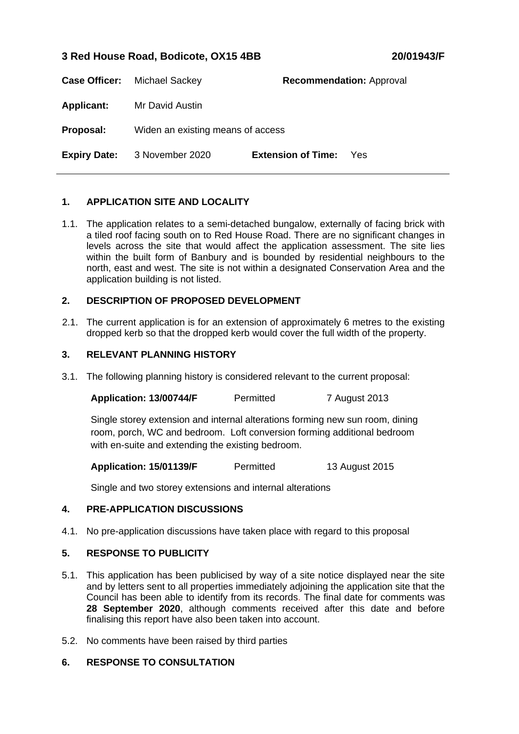# **3 Red House Road, Bodicote, OX15 4BB 20/01943/F**

|                     | <b>Case Officer:</b> Michael Sackey |                           | <b>Recommendation: Approval</b> |
|---------------------|-------------------------------------|---------------------------|---------------------------------|
| <b>Applicant:</b>   | Mr David Austin                     |                           |                                 |
| Proposal:           | Widen an existing means of access   |                           |                                 |
| <b>Expiry Date:</b> | 3 November 2020                     | <b>Extension of Time:</b> | Yes                             |

## **1. APPLICATION SITE AND LOCALITY**

1.1. The application relates to a semi-detached bungalow, externally of facing brick with a tiled roof facing south on to Red House Road. There are no significant changes in levels across the site that would affect the application assessment. The site lies within the built form of Banbury and is bounded by residential neighbours to the north, east and west. The site is not within a designated Conservation Area and the application building is not listed.

### **2. DESCRIPTION OF PROPOSED DEVELOPMENT**

2.1. The current application is for an extension of approximately 6 metres to the existing dropped kerb so that the dropped kerb would cover the full width of the property.

### **3. RELEVANT PLANNING HISTORY**

3.1. The following planning history is considered relevant to the current proposal:

| Permitted | 7 August 2013 |
|-----------|---------------|
|           |               |

Single storey extension and internal alterations forming new sun room, dining room, porch, WC and bedroom. Loft conversion forming additional bedroom with en-suite and extending the existing bedroom.

**Application: 15/01139/F** Permitted 13 August 2015

Single and two storey extensions and internal alterations

### **4. PRE-APPLICATION DISCUSSIONS**

4.1. No pre-application discussions have taken place with regard to this proposal

### **5. RESPONSE TO PUBLICITY**

- 5.1. This application has been publicised by way of a site notice displayed near the site and by letters sent to all properties immediately adjoining the application site that the Council has been able to identify from its records. The final date for comments was **28 September 2020**, although comments received after this date and before finalising this report have also been taken into account.
- 5.2. No comments have been raised by third parties

### **6. RESPONSE TO CONSULTATION**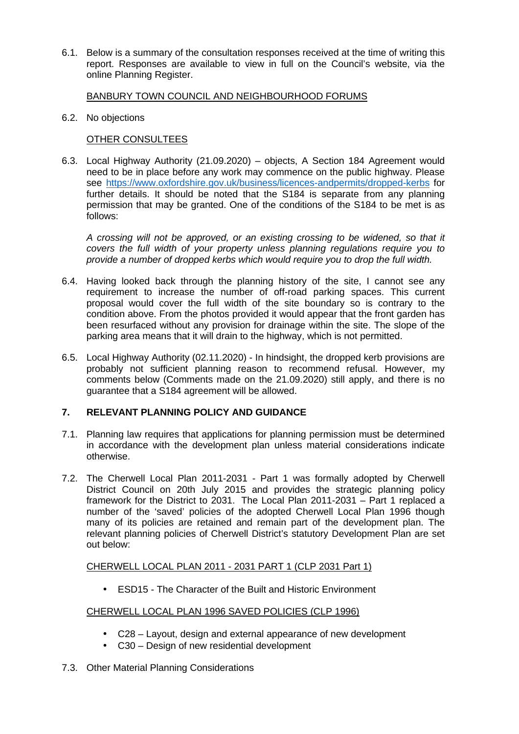6.1. Below is a summary of the consultation responses received at the time of writing this report. Responses are available to view in full on the Council's website, via the online Planning Register.

## BANBURY TOWN COUNCIL AND NEIGHBOURHOOD FORUMS

6.2. No objections

## OTHER CONSULTEES

6.3. Local Highway Authority (21.09.2020) – objects, A Section 184 Agreement would need to be in place before any work may commence on the public highway. Please see https://www.oxfordshire.gov.uk/business/licences-andpermits/dropped-kerbs for further details. It should be noted that the S184 is separate from any planning permission that may be granted. One of the conditions of the S184 to be met is as follows:

*A crossing will not be approved, or an existing crossing to be widened, so that it covers the full width of your property unless planning regulations require you to provide a number of dropped kerbs which would require you to drop the full width.*

- 6.4. Having looked back through the planning history of the site, I cannot see any requirement to increase the number of off-road parking spaces. This current proposal would cover the full width of the site boundary so is contrary to the condition above. From the photos provided it would appear that the front garden has been resurfaced without any provision for drainage within the site. The slope of the parking area means that it will drain to the highway, which is not permitted.
- 6.5. Local Highway Authority (02.11.2020) In hindsight, the dropped kerb provisions are probably not sufficient planning reason to recommend refusal. However, my comments below (Comments made on the 21.09.2020) still apply, and there is no guarantee that a S184 agreement will be allowed.

### **7. RELEVANT PLANNING POLICY AND GUIDANCE**

- 7.1. Planning law requires that applications for planning permission must be determined in accordance with the development plan unless material considerations indicate otherwise.
- 7.2. The Cherwell Local Plan 2011-2031 Part 1 was formally adopted by Cherwell District Council on 20th July 2015 and provides the strategic planning policy framework for the District to 2031. The Local Plan 2011-2031 – Part 1 replaced a number of the 'saved' policies of the adopted Cherwell Local Plan 1996 though many of its policies are retained and remain part of the development plan. The relevant planning policies of Cherwell District's statutory Development Plan are set out below:

### CHERWELL LOCAL PLAN 2011 - 2031 PART 1 (CLP 2031 Part 1)

• ESD15 - The Character of the Built and Historic Environment

### CHERWELL LOCAL PLAN 1996 SAVED POLICIES (CLP 1996)

- C28 Layout, design and external appearance of new development
- C30 Design of new residential development
- 7.3. Other Material Planning Considerations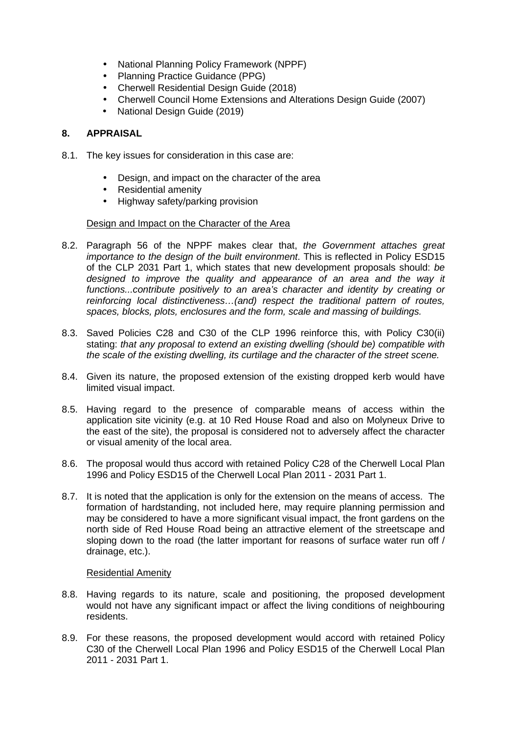- National Planning Policy Framework (NPPF)
- Planning Practice Guidance (PPG)
- Cherwell Residential Design Guide (2018)
- Cherwell Council Home Extensions and Alterations Design Guide (2007)
- National Design Guide (2019)

## **8. APPRAISAL**

- 8.1. The key issues for consideration in this case are:
	- Design, and impact on the character of the area
	- Residential amenity
	- Highway safety/parking provision

#### Design and Impact on the Character of the Area

- 8.2. Paragraph 56 of the NPPF makes clear that, *the Government attaches great importance to the design of the built environment*. This is reflected in Policy ESD15 of the CLP 2031 Part 1, which states that new development proposals should: *be designed to improve the quality and appearance of an area and the way it functions...contribute positively to an area's character and identity by creating or reinforcing local distinctiveness…(and) respect the traditional pattern of routes, spaces, blocks, plots, enclosures and the form, scale and massing of buildings.*
- 8.3. Saved Policies C28 and C30 of the CLP 1996 reinforce this, with Policy C30(ii) stating: *that any proposal to extend an existing dwelling (should be) compatible with the scale of the existing dwelling, its curtilage and the character of the street scene.*
- 8.4. Given its nature, the proposed extension of the existing dropped kerb would have limited visual impact.
- 8.5. Having regard to the presence of comparable means of access within the application site vicinity (e.g. at 10 Red House Road and also on Molyneux Drive to the east of the site), the proposal is considered not to adversely affect the character or visual amenity of the local area.
- 8.6. The proposal would thus accord with retained Policy C28 of the Cherwell Local Plan 1996 and Policy ESD15 of the Cherwell Local Plan 2011 - 2031 Part 1.
- 8.7. It is noted that the application is only for the extension on the means of access. The formation of hardstanding, not included here, may require planning permission and may be considered to have a more significant visual impact, the front gardens on the north side of Red House Road being an attractive element of the streetscape and sloping down to the road (the latter important for reasons of surface water run off / drainage, etc.).

#### Residential Amenity

- 8.8. Having regards to its nature, scale and positioning, the proposed development would not have any significant impact or affect the living conditions of neighbouring residents.
- 8.9. For these reasons, the proposed development would accord with retained Policy C30 of the Cherwell Local Plan 1996 and Policy ESD15 of the Cherwell Local Plan 2011 - 2031 Part 1.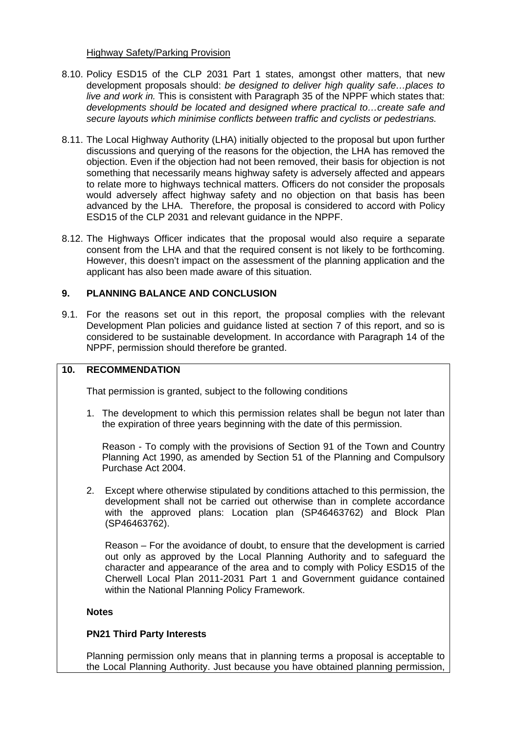#### Highway Safety/Parking Provision

- 8.10. Policy ESD15 of the CLP 2031 Part 1 states, amongst other matters, that new development proposals should: *be designed to deliver high quality safe…places to live and work in.* This is consistent with Paragraph 35 of the NPPF which states that: *developments should be located and designed where practical to…create safe and secure layouts which minimise conflicts between traffic and cyclists or pedestrians.*
- 8.11. The Local Highway Authority (LHA) initially objected to the proposal but upon further discussions and querying of the reasons for the objection, the LHA has removed the objection. Even if the objection had not been removed, their basis for objection is not something that necessarily means highway safety is adversely affected and appears to relate more to highways technical matters. Officers do not consider the proposals would adversely affect highway safety and no objection on that basis has been advanced by the LHA. Therefore, the proposal is considered to accord with Policy ESD15 of the CLP 2031 and relevant guidance in the NPPF.
- 8.12. The Highways Officer indicates that the proposal would also require a separate consent from the LHA and that the required consent is not likely to be forthcoming. However, this doesn't impact on the assessment of the planning application and the applicant has also been made aware of this situation.

### **9. PLANNING BALANCE AND CONCLUSION**

9.1. For the reasons set out in this report, the proposal complies with the relevant Development Plan policies and guidance listed at section 7 of this report, and so is considered to be sustainable development. In accordance with Paragraph 14 of the NPPF, permission should therefore be granted.

## **10. RECOMMENDATION**

That permission is granted, subject to the following conditions

1. The development to which this permission relates shall be begun not later than the expiration of three years beginning with the date of this permission.

Reason - To comply with the provisions of Section 91 of the Town and Country Planning Act 1990, as amended by Section 51 of the Planning and Compulsory Purchase Act 2004.

2. Except where otherwise stipulated by conditions attached to this permission, the development shall not be carried out otherwise than in complete accordance with the approved plans: Location plan (SP46463762) and Block Plan (SP46463762).

Reason – For the avoidance of doubt, to ensure that the development is carried out only as approved by the Local Planning Authority and to safeguard the character and appearance of the area and to comply with Policy ESD15 of the Cherwell Local Plan 2011-2031 Part 1 and Government guidance contained within the National Planning Policy Framework.

#### **Notes**

### **PN21 Third Party Interests**

Planning permission only means that in planning terms a proposal is acceptable to the Local Planning Authority. Just because you have obtained planning permission,